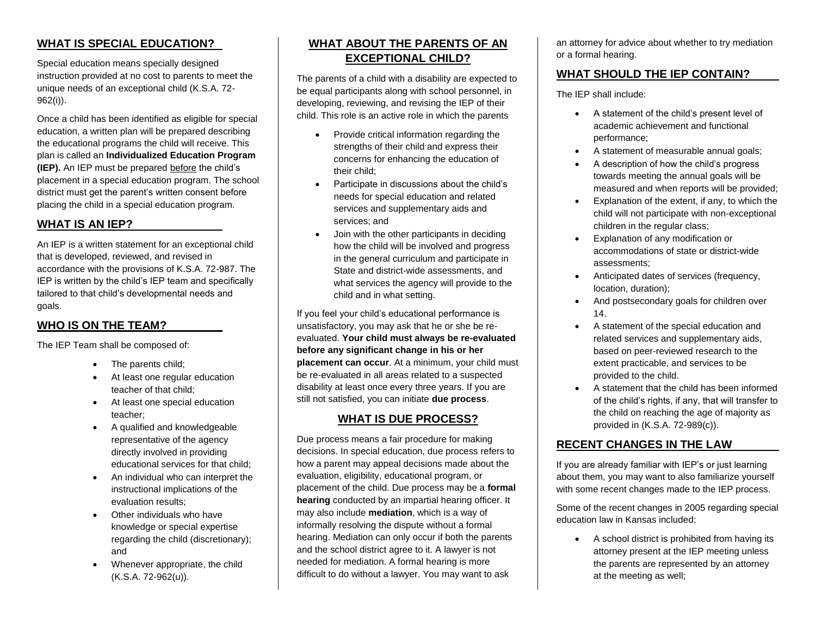## **WHAT IS SPECIAL EDUCATION?**

Special education means specially designed instruction provided at no cost to parents to meet the unique needs of an exceptional child (K.S.A. 72- 962(i)).

Once a child has been identified as eligible for special education, a written plan will be prepared describing the educational programs the child will receive. This plan is called an **Individualized Education Program (IEP).** An IEP must be prepared before the child's placement in a special education program. The school district must get the parent's written consent before placing the child in a special education program.

#### **WHAT IS AN IEP?**

An IEP is a written statement for an exceptional child that is developed, reviewed, and revised in accordance with the provisions of K.S.A. 72-987. The IEP is written by the child's IEP team and specifically tailored to that child's developmental needs and goals.

## **WHO IS ON THE TEAM?**

The IEP Team shall be composed of:

- The parents child;
- At least one regular education teacher of that child;
- At least one special education teacher;
- A qualified and knowledgeable representative of the agency directly involved in providing educational services for that child;
- An individual who can interpret the instructional implications of the evaluation results;
- Other individuals who have knowledge or special expertise regarding the child (discretionary); and
- Whenever appropriate, the child (K.S.A. 72-962(u)).

## **WHAT ABOUT THE PARENTS OF AN EXCEPTIONAL CHILD?**

The parents of a child with a disability are expected to be equal participants along with school personnel, in developing, reviewing, and revising the IEP of their child. This role is an active role in which the parents

- Provide critical information regarding the strengths of their child and express their concerns for enhancing the education of their child;
- Participate in discussions about the child's needs for special education and related services and supplementary aids and services; and
- Join with the other participants in deciding how the child will be involved and progress in the general curriculum and participate in State and district-wide assessments, and what services the agency will provide to the child and in what setting.

If you feel your child's educational performance is unsatisfactory, you may ask that he or she be reevaluated. **Your child must always be re-evaluated before any significant change in his or her placement can occur**. At a minimum, your child must be re-evaluated in all areas related to a suspected disability at least once every three years. If you are still not satisfied, you can initiate **due process**.

#### **WHAT IS DUE PROCESS?**

Due process means a fair procedure for making decisions. In special education, due process refers to how a parent may appeal decisions made about the evaluation, eligibility, educational program, or placement of the child. Due process may be a **formal hearing** conducted by an impartial hearing officer. It may also include **mediation**, which is a way of informally resolving the dispute without a formal hearing. Mediation can only occur if both the parents and the school district agree to it. A lawyer is not needed for mediation. A formal hearing is more difficult to do without a lawyer. You may want to ask

an attorney for advice about whether to try mediation or a formal hearing.

## **WHAT SHOULD THE IEP CONTAIN?**

The IEP shall include:

- A statement of the child's present level of academic achievement and functional performance;
- A statement of measurable annual goals;
- A description of how the child's progress towards meeting the annual goals will be measured and when reports will be provided;
- Explanation of the extent, if any, to which the child will not participate with non-exceptional children in the regular class;
- Explanation of any modification or accommodations of state or district-wide assessments;
- Anticipated dates of services (frequency, location, duration);
- And postsecondary goals for children over 14.
- A statement of the special education and related services and supplementary aids, based on peer-reviewed research to the extent practicable, and services to be provided to the child.
- A statement that the child has been informed of the child's rights, if any, that will transfer to the child on reaching the age of majority as provided in (K.S.A. 72-989(c)).

### **RECENT CHANGES IN THE LAW**

If you are already familiar with IEP's or just learning about them, you may want to also familiarize yourself with some recent changes made to the IEP process.

Some of the recent changes in 2005 regarding special education law in Kansas included:

 A school district is prohibited from having its attorney present at the IEP meeting unless the parents are represented by an attorney at the meeting as well;